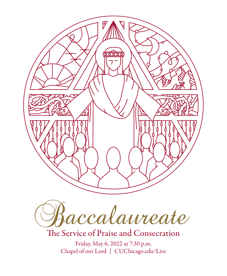



The Service of Praise and Consecration

Friday, May 6, 2022 at 7:30 p.m. Chapel of our Lord | [CUChicago.edu/](https://www.cuchicago.edu/events/commencement/)Live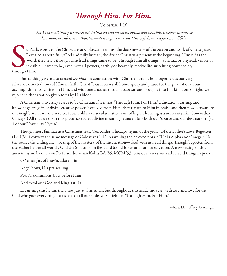# *Through Him. For Him.*

Colossians 1:16

*For by him all things were created, in heaven and on earth, visible and invisible, whether thrones or dominions or rulers or authorities—all things were created through him and for him. (ESV)*

t. Pau<br>Revea<br>Word<br>invisil<br>through Him. t. Paul's words to the Christians at Colossae peer into the deep mystery of the person and work of Christ Jesus. Revealed as both fully God and fully human, the divine Christ was present at the beginning, Himself as the Word, the means through which all things came to be. Through Him all things—spiritual or physical, visible or invisible—came to be; even now all powers, earthly or heavenly, receive life-sustaining power solely

But all things were also created *for Him*. In connection with Christ all things hold together, as our very selves are directed toward Him in faith. Christ Jesus receives all honor, glory and praise for the greatest of all our accomplishments. United in Him, and with one another through baptism and brought into His kingdom of light, we rejoice in the salvation given to us by His blood.

A Christian university ceases to be Christian if it is not "Through Him. For Him." Education, learning and knowledge are gifts of divine creative power. Received from Him, they return to Him in praise and then flow outward to our neighbor in love and service. How unlike our secular institutions of higher learning is a university like Concordia-Chicago! All that we do in this place has sacred, divine meaning because He is both our "source and our destination" (st. 1 of our University Hymn).

Though most familiar as a Christmas text, Concordia-Chicago's hymn of the year, "Of the Father's Love Begotten" (LSB 384) conveys the same message of Colossians 1:16. As we sing the beloved phrase "He is Alpha and Omega,/ He the source the ending He," we sing of the mystery of the Incarnation—God with us in all things. Though begotten from the Father before all worlds, God the Son took on flesh and blood for us and for our salvation. A new setting of this ancient hymn by our own Professor Jonathan Kohrs BA '85, MCM '93 joins our voices with all created things in praise:

O Ye heights of heav'n, adore Him;

Angel hosts, His praises sing.

Powr's, dominions, bow before Him

And extol our God and King. (st. 4)

Let us sing this hymn, then, not just at Christmas, but throughout this academic year, with awe and love for the God who gave everything for us so that all our endeavors might be "Through Him. For Him."

~Rev. Dr. Jeffrey Leininger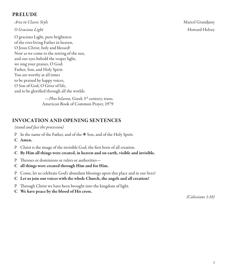#### PRELUDE

*Aria in Classic Style* Marcel Grandjany

O gracious Light, pure brightness of the ever-living Father in heaven, O Jesus Christ, holy and blessed! Now as we come to the setting of the sun, and our eyes behold the vesper light, we sing your praises, O God: Father, Son, and Holy Spirit. You are worthy at all times to be praised by happy voices, O Son of God, O Giver of life, and to be glorified through all the worlds.

> *—Phos hilaron,* Greek 3rd century, trans. American Book of Common Prayer, 1979

# INVOCATION AND OPENING SENTENCES

#### *(stand and face the procession)*

- P In the name of the Father, and of the ⊕ Son, and of the Holy Spirit.
- C Amen.
- P Christ is the image of the invisible God, the first born of all creation.
- C By Him all things were created, in heaven and on earth, visible and invisible.
- P Thrones or dominions or rulers or authorities—
- C all things were created through Him and for Him.
- P Come, let us celebrate God's abundant blessings upon this place and in our lives!
- C Let us join our voices with the whole Church, the angels and all creation!
- P Through Christ we have been brought into the kingdom of light.
- C We have peace by the blood of His cross.

*(Colossians 1:16)*

*O Gracious Light* Howard Helvey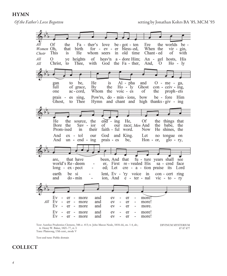HYMN



Text: Aurelius Prudentius Clemens, 348-c. 413; tr. John Mason Neale, 1818-66, sts. 1-4, alt.; tr. Henry W. Baker, 1821-77, st. 5 Tune: Plainsong, 13th cent., mode V

DIVINUM MYSTERIUM 87 87 877

Text and tune: Public domain

# COLLECT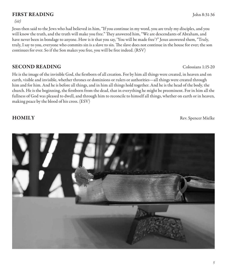# FIRST READING John 8:31-36

#### *(sit)*

Jesus then said to the Jews who had believed in him, "If you continue in my word, you are truly my disciples, and you will know the truth, and the truth will make you free." They answered him, "We are descendants of Abraham, and have never been in bondage to anyone. How is it that you say, 'You will be made free'?" Jesus answered them, "Truly, truly, I say to you, everyone who commits sin is a slave to sin. The slave does not continue in the house for ever; the son continues for ever. So if the Son makes you free, you will be free indeed. (RSV)

## SECOND READING Colossians 1:15-20

He is the image of the invisible God, the firstborn of all creation. For by him all things were created, in heaven and on earth, visible and invisible, whether thrones or dominions or rulers or authorities—all things were created through him and for him. And he is before all things, and in him all things hold together. And he is the head of the body, the church. He is the beginning, the firstborn from the dead, that in everything he might be preeminent. For in him all the fullness of God was pleased to dwell, and through him to reconcile to himself all things, whether on earth or in heaven, making peace by the blood of his cross. (ESV)

**HOMILY** Rev. Spencer Mielke

*5*

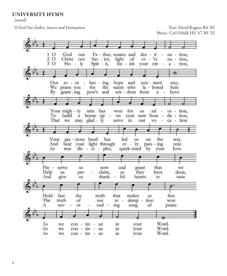#### UNIVERSITY HYMN

*(stand)*

*O God Our Father, Source and Destination* Text: David Rogner BA '82

Music: Carl Schalk HS '47, BS '52

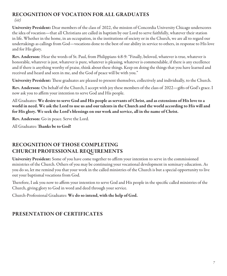#### RECOGNITION OF VOCATION FOR ALL GRADUATES *(sit)*

University President: Dear members of the class of 2022, the mission of Concordia University Chicago underscores the idea of vocation—that all Christians are called in baptism by our Lord to serve faithfully, whatever their station in life. Whether in the home, in an occupation, in the institutions of society or in the Church, we are all to regard our undertakings as callings from God—vocations done to the best of our ability in service to others, in response to His love and for His glory.

Rev. Anderson: Hear the words of St. Paul, from Philippians 4:8-9: "Finally, beloved, whatever is true, whatever is honorable, whatever is just, whatever is pure, whatever is pleasing, whatever is commendable, if there is any excellence and if there is anything worthy of praise, think about these things. Keep on doing the things that you have learned and received and heard and seen in me, and the God of peace will be with you."

University President: These graduates are pleased to present themselves, collectively and individually, to the Church.

Rev. Anderson: On behalf of the Church, I accept with joy these members of the class of 2022—gifts of God's grace. I now ask you to affirm your intention to serve God and His people.

All Graduates: We desire to serve God and His people as servants of Christ, and as extensions of His love to a world in need. We ask the Lord to use us and our talents in the Church and the world according to His will and for His glory. We seek the Lord's blessings on our work and service, all in the name of Christ.

Rev. Anderson: Go in peace. Serve the Lord.

All Graduates: Thanks be to God!

# RECOGNITION OF THOSE COMPLETING CHURCH PROFESSIONAL REQUIREMENTS

University President: Some of you have come together to affirm your intention to serve in the commissioned ministries of the Church. Others of you may be continuing your vocational development in seminary education. As you do so, let me remind you that your work in the called ministries of the Church is but a special opportunity to live out your baptismal vocations from God.

Therefore, I ask you now to affirm your intention to serve God and His people in the specific called ministries of the Church, giving glory to God in word and deed through your service.

Church-Professional Graduates: We do so intend, with the help of God.

# PRESENTATION OF CERTIFICATES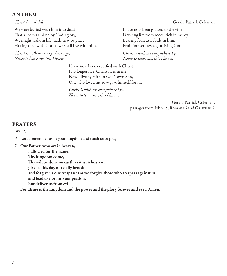#### ANTHEM

We were buried with him into death, That as he was raised by God's glory, We might walk in life made new by grace. Having died with Christ, we shall live with him.

*Christ is with me everywhere I go, Never to leave me, this I know.*

*Christ Is with Me* Gerald Patrick Coleman *Coleman Coleman* Gerald Patrick Coleman

I have now been grafted to the vine, Drawing life from roots, rich in mercy, Bearing fruit as I abide in him: Fruit forever fresh, glorifying God.

*Christ is with me everywhere I go, Never to leave me, this I know.*

I have now been crucified with Christ, I no longer live, Christ lives in me. Now I live by faith in God's own Son, One who loved me so – gave himself for me.

*Christ is with me everywhere I go, Never to leave me, this I know.*

> —Gerald Patrick Coleman, passages from John 15, Romans 6 and Galatians 2

#### PRAYERS

#### *(stand)*

- P Lord, remember us in your kingdom and teach us to pray:
- C Our Father, who art in heaven,

hallowed be Thy name, Thy kingdom come, Thy will be done on earth as it is in heaven; give us this day our daily bread; and forgive us our trespasses as we forgive those who trespass against us; and lead us not into temptation, but deliver us from evil.

For Thine is the kingdom and the power and the glory forever and ever. Amen.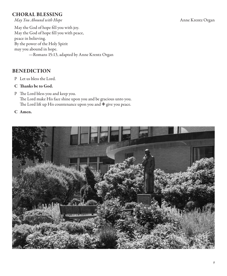# CHORAL BLESSING

*May You Abound with Hope* Anne Krentz Organ

May the God of hope fill you with joy. May the God of hope fill you with peace, peace in believing. By the power of the Holy Spirit may you abound in hope. —Romans 15:13, adapted by Anne Krentz Organ

# BENEDICTION

- P Let us bless the Lord.
- C Thanks be to God.
- P The Lord bless you and keep you. The Lord make His face shine upon you and be gracious unto you. The Lord lift up His countenance upon you and  $\triangleq$  give you peace.
- C Amen.

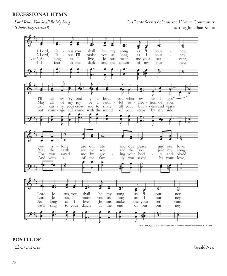# RECESSIONAL HYMN

*Lord Jesus, You Shall Be My Song* Les Petite Soeurs de Jesus and L'Arche Community *(Choir sings stanza 3)* Setting, Jonathan Kohrs (*Choir sings stanza 3*) Setting, Jonathan Kohrs he Community)



Music copyright G.I.A. Publication, Inc. Reprinted under OneLicense.net #A-704570.

#### POSTLUDE

*Christ Is Arisen* Gerald Near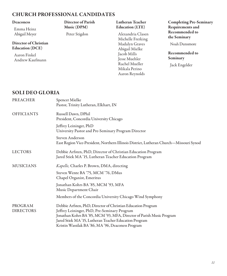## CHURCH PROFESSIONAL CANDIDATES

#### Deaconess

Emma Heinz Abigail Meyer

Director of Christian Education (DCE)

Aaron Finkel Andrew Kaufmann

#### Director of Parish Music (DPM)

Peter Stigdon

#### Lutheran Teacher Education (LTE)

Alexandria Clasen Michelle Frerking Madalyn Graves Abigail Mielke Jacob Mills Jesse Muehler Rachel Mueller Mikala Perino Aaron Reynolds

Completing Pre-Seminary Requirements and Recommended to the Seminary

Noah Dunsmore

Recommended to Seminary

Jack Engelder

#### SOLI DEO GLORIA

| <b>PREACHER</b>   | Spencer Mielke                                                                         |
|-------------------|----------------------------------------------------------------------------------------|
|                   | Pastor, Trinity Lutheran, Elkhart, IN                                                  |
| <b>OFFICIANTS</b> | Russell Dawn, DPhil                                                                    |
|                   | President, Concordia University Chicago                                                |
|                   | Jeffrey Leininger, PhD<br>University Pastor and Pre-Seminary Program Director          |
|                   | Steven Anderson                                                                        |
|                   | East Region Vice-President, Northern Illinois District, Lutheran Church—Missouri Synod |
| <b>LECTORS</b>    | Debbie Arfsten, PhD, Director of Christian Education Program                           |
|                   | Jared Stiek MA '15, Lutheran Teacher Education Program                                 |
| <b>MUSICIANS</b>  | Kapelle, Charles P. Brown, DMA, directing                                              |
|                   | Steven Wente BA '75, MCM '76, DMus                                                     |
|                   | Chapel Organist, Emeritus                                                              |
|                   | Jonathan Kohrs BA '85, MCM '93, MFA<br>Music Department Chair                          |
|                   | Members of the Concordia University Chicago Wind Symphony                              |
| PROGRAM           | Debbie Arfsten, PhD, Director of Christian Education Program                           |
| <b>DIRECTORS</b>  | Jeffrey Leininger, PhD, Pre-Seminary Program                                           |
|                   | Jonathan Kohrs BA '85, MCM '93, MFA, Director of Parish Music Program                  |
|                   | Jared Stiek MA '15, Lutheran Teacher Education Program                                 |
|                   | Kristin Wassilak BA '86, MA '96, Deaconess Program                                     |